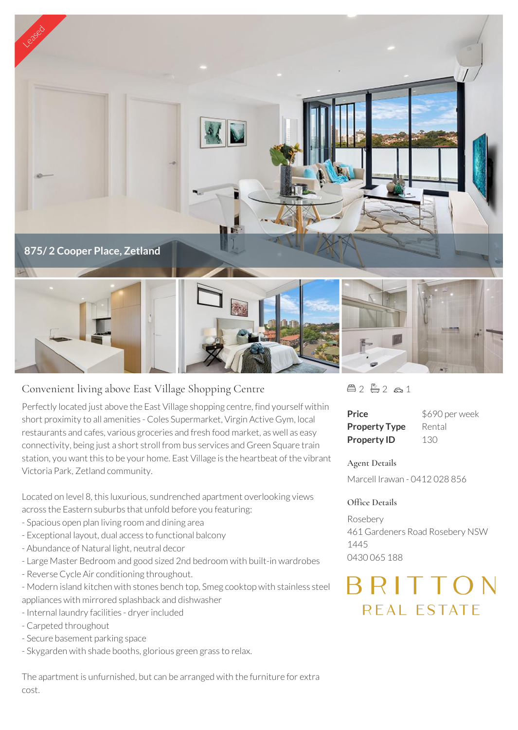

## Convenient living above East Village Shopping Centre

Perfectly located just above the East Village shopping centre, find yourself within short proximity to all amenities - Coles Supermarket, Virgin Active Gym, local restaurants and cafes, various groceries and fresh food market, as well as easy connectivity, being just a short stroll from bus services and Green Square train station, you want this to be your home. East Village is the heartbeat of the vibrant Victoria Park, Zetland community.

Located on level 8, this luxurious, sundrenched apartment overlooking views across the Eastern suburbs that unfold before you featuring:

- Spacious open plan living room and dining area
- Exceptional layout, dual access to functional balcony
- Abundance of Natural light, neutral decor
- Large Master Bedroom and good sized 2nd bedroom with built-in wardrobes
- Reverse Cycle Air conditioning throughout.

- Modern island kitchen with stones bench top, Smeg cooktop with stainless steel appliances with mirrored splashback and dishwasher

- Internal laundry facilities dryer included
- Carpeted throughout
- Secure basement parking space
- Skygarden with shade booths, glorious green grass to relax.

The apartment is unfurnished, but can be arranged with the furniture for extra cost.

 $22 - 2 - 2 - 1$ 

| Price                | \$690 per week |
|----------------------|----------------|
| <b>Property Type</b> | Rental         |
| <b>Property ID</b>   | 130            |

## **Agent Details**

Marcell Irawan - 0412 028 856

## **Office Details**

Rosebery 461 Gardeners Road Rosebery NSW 1445 0430 065 188

## RITTON REAL ESTATE